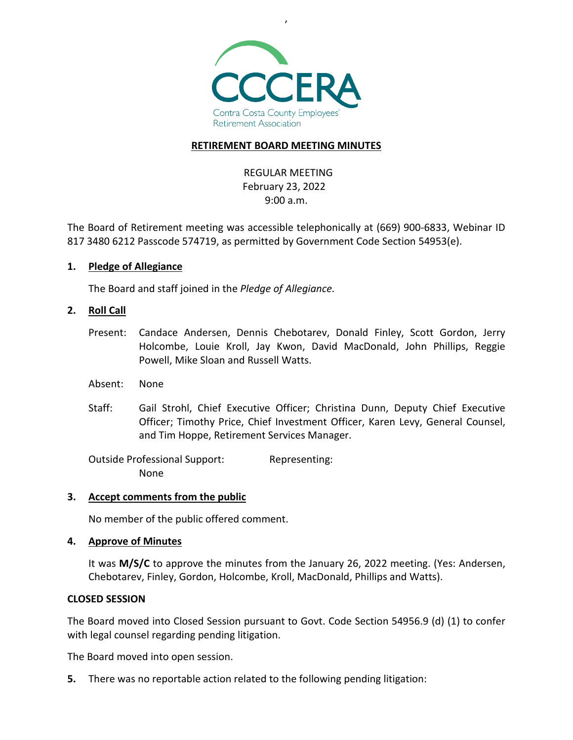

,

#### **RETIREMENT BOARD MEETING MINUTES**

# REGULAR MEETING February 23, 2022 9:00 a.m.

The Board of Retirement meeting was accessible telephonically at (669) 900-6833, Webinar ID 817 3480 6212 Passcode 574719, as permitted by Government Code Section 54953(e).

#### **1. Pledge of Allegiance**

The Board and staff joined in the *Pledge of Allegiance.*

## **2. Roll Call**

- Present: Candace Andersen, Dennis Chebotarev, Donald Finley, Scott Gordon, Jerry Holcombe, Louie Kroll, Jay Kwon, David MacDonald, John Phillips, Reggie Powell, Mike Sloan and Russell Watts.
- Absent: None
- Staff: Gail Strohl, Chief Executive Officer; Christina Dunn, Deputy Chief Executive Officer; Timothy Price, Chief Investment Officer, Karen Levy, General Counsel, and Tim Hoppe, Retirement Services Manager.

Outside Professional Support: Representing: None

#### **3. Accept comments from the public**

No member of the public offered comment.

#### **4. Approve of Minutes**

It was **M/S/C** to approve the minutes from the January 26, 2022 meeting. (Yes: Andersen, Chebotarev, Finley, Gordon, Holcombe, Kroll, MacDonald, Phillips and Watts).

#### **CLOSED SESSION**

The Board moved into Closed Session pursuant to Govt. Code Section 54956.9 (d) (1) to confer with legal counsel regarding pending litigation.

The Board moved into open session.

**5.** There was no reportable action related to the following pending litigation: